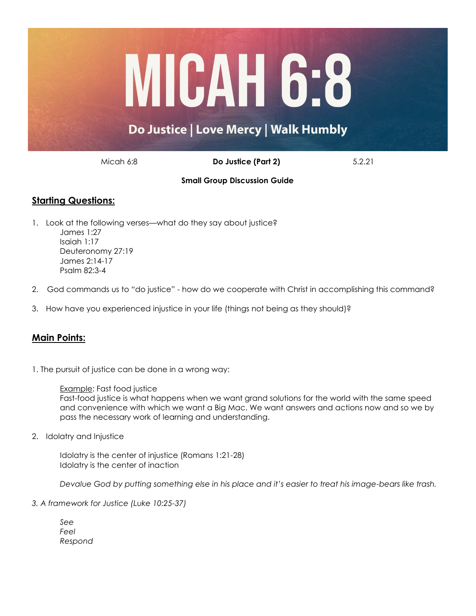

Micah 6:8 **Do Justice (Part 2)** 5.2.21

## **Small Group Discussion Guide**

# **Starting Questions:**

- 1. Look at the following verses—what do they say about justice? James 1:27 Isaiah 1:17 Deuteronomy 27:19 James 2:14-17 Psalm 82:3-4
- 2. God commands us to "do justice" how do we cooperate with Christ in accomplishing this command?
- 3. How have you experienced injustice in your life (things not being as they should)?

# **Main Points:**

1. The pursuit of justice can be done in a wrong way:

#### Example: Fast food justice

Fast-food justice is what happens when we want grand solutions for the world with the same speed and convenience with which we want a Big Mac. We want answers and actions now and so we by pass the necessary work of learning and understanding.

2. Idolatry and Injustice

Idolatry is the center of injustice (Romans 1:21-28) Idolatry is the center of inaction

*Devalue God by putting something else in his place and it's easier to treat his image-bears like trash.*

## *3. A framework for Justice (Luke 10:25-37)*

*See Feel Respond*